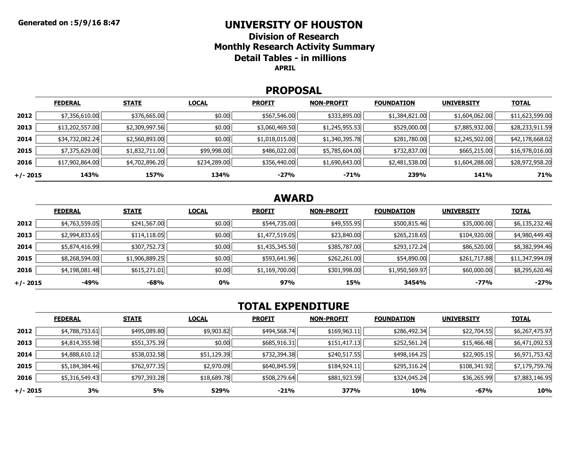### **UNIVERSITY OF HOUSTON**

**Division of ResearchMonthly Research Activity Summary Detail Tables - in millions APRIL**

#### **PROPOSAL**

|            | <b>FEDERAL</b>  | <b>STATE</b>   | <b>LOCAL</b> | <b>PROFIT</b>  | <b>NON-PROFIT</b> | <b>FOUNDATION</b> | <b>UNIVERSITY</b> | <b>TOTAL</b>    |
|------------|-----------------|----------------|--------------|----------------|-------------------|-------------------|-------------------|-----------------|
| 2012       | \$7,356,610.00  | \$376,665.00   | \$0.00       | \$567,546.00   | \$333,895.00      | \$1,384,821.00    | \$1,604,062.00    | \$11,623,599.00 |
| 2013       | \$13,202,557.00 | \$2,309,997.56 | \$0.00       | \$3,060,469.50 | \$1,245,955.53    | \$529,000.00      | \$7,885,932.00    | \$28,233,911.59 |
| 2014       | \$34,732,082.24 | \$2,560,893.00 | \$0.00       | \$1,018,015.00 | \$1,340,395.78    | \$281,780.00      | \$2,245,502.00    | \$42,178,668.02 |
| 2015       | \$7,375,629.00  | \$1,832,711.00 | \$99,998.00  | \$486,022.00   | \$5,785,604.00    | \$732,837.00      | \$665,215.00      | \$16,978,016.00 |
| 2016       | \$17,902,864.00 | \$4,702,896.20 | \$234,289.00 | \$356,440.00   | \$1,690,643.00    | \$2,481,538.00    | \$1,604,288.00    | \$28,972,958.20 |
| $+/- 2015$ | 143%            | 157%           | 134%         | $-27%$         | $-71%$            | 239%              | 141%              | 71%             |

# **AWARD**

|          | <b>FEDERAL</b> | <b>STATE</b>   | <b>LOCAL</b> | <b>PROFIT</b>  | <b>NON-PROFIT</b> | <b>FOUNDATION</b> | <b>UNIVERSITY</b> | <b>TOTAL</b>    |
|----------|----------------|----------------|--------------|----------------|-------------------|-------------------|-------------------|-----------------|
| 2012     | \$4,763,559.05 | \$241,567.00   | \$0.00       | \$544,735.00   | \$49,555.95       | \$500,815.46      | \$35,000.00       | \$6,135,232.46  |
| 2013     | \$2,994,833.65 | \$114,118.05   | \$0.00       | \$1,477,519.05 | \$23,840.00       | \$265,218.65      | \$104,920.00      | \$4,980,449.40  |
| 2014     | \$5,874,416.99 | \$307,752.73   | \$0.00       | \$1,435,345.50 | \$385,787.00      | \$293,172.24      | \$86,520.00       | \$8,382,994.46  |
| 2015     | \$8,268,594.00 | \$1,906,889.25 | \$0.00       | \$593,641.96   | \$262,261.00      | \$54,890.00       | \$261,717.88      | \$11,347,994.09 |
| 2016     | \$4,198,081.48 | \$615,271.01   | \$0.00       | \$1,169,700.00 | \$301,998.00      | \$1,950,569.97    | \$60,000.00       | \$8,295,620.46  |
| +/- 2015 | -49%           | $-68%$         | 0%           | 97%            | 15%               | 3454%             | $-77%$            | $-27%$          |

# **TOTAL EXPENDITURE**

|          | <b>FEDERAL</b> | <b>STATE</b> | <b>LOCAL</b> | <b>PROFIT</b> | <b>NON-PROFIT</b> | <b>FOUNDATION</b> | <b>UNIVERSITY</b> | <b>TOTAL</b>   |
|----------|----------------|--------------|--------------|---------------|-------------------|-------------------|-------------------|----------------|
| 2012     | \$4,788,753.61 | \$495,089.80 | \$9,903.82   | \$494,568.74  | \$169,963.11      | \$286,492.34      | \$22,704.55       | \$6,267,475.97 |
| 2013     | \$4,814,355.98 | \$551,375.39 | \$0.00       | \$685,916.31  | \$151,417.13      | \$252,561.24      | \$15,466.48       | \$6,471,092.53 |
| 2014     | \$4,888,610.12 | \$538,032.58 | \$51,129.39  | \$732,394.38  | \$240,517.55      | \$498,164.25      | \$22,905.15       | \$6,971,753.42 |
| 2015     | \$5,184,384.46 | \$762,977.35 | \$2,970.09   | \$640,845.59  | \$184,924.11      | \$295,316.24      | \$108,341.92      | \$7,179,759.76 |
| 2016     | \$5,316,549.43 | \$797,393.28 | \$18,689.78  | \$508,279.64  | \$881,923.59      | \$324,045.24      | \$36,265.99       | \$7,883,146.95 |
| +/- 2015 | 3%             | 5%           | 529%         | $-21%$        | 377%              | 10%               | -67%              | <b>10%</b>     |